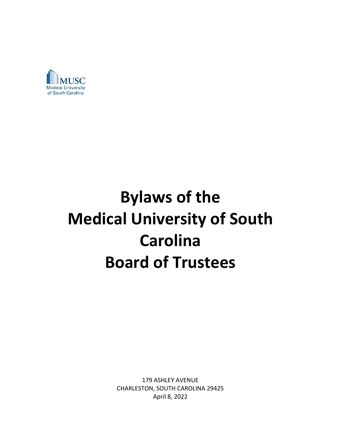

# **Bylaws of the Medical University of South Carolina Board of Trustees**

179 ASHLEY AVENUE CHARLESTON, SOUTH CAROLINA 29425 April 8, 2022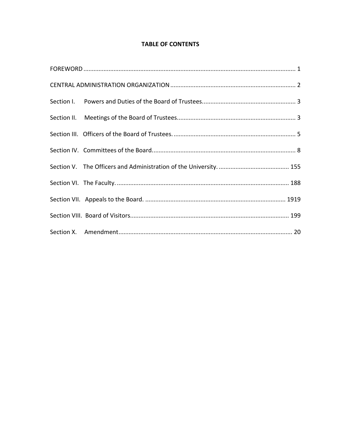## **TABLE OF CONTENTS**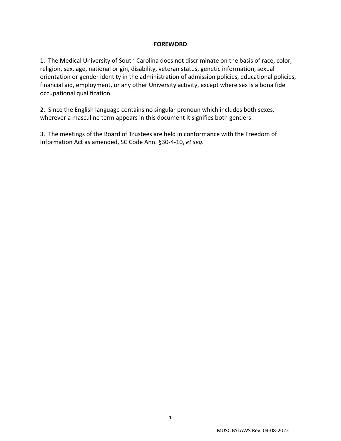#### **FOREWORD**

<span id="page-2-0"></span>1. The Medical University of South Carolina does not discriminate on the basis of race, color, religion, sex, age, national origin, disability, veteran status, genetic information, sexual orientation or gender identity in the administration of admission policies, educational policies, financial aid, employment, or any other University activity, except where sex is a bona fide occupational qualification.

2. Since the English language contains no singular pronoun which includes both sexes, wherever a masculine term appears in this document it signifies both genders.

3. The meetings of the Board of Trustees are held in conformance with the Freedom of Information Act as amended, SC Code Ann. §30-4-10, *et seq.*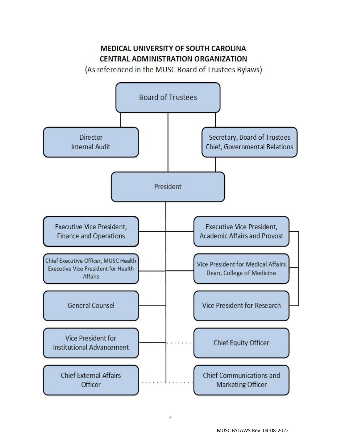## MEDICAL UNIVERSITY OF SOUTH CAROLINA **CENTRAL ADMINISTRATION ORGANIZATION**

(As referenced in the MUSC Board of Trustees Bylaws)

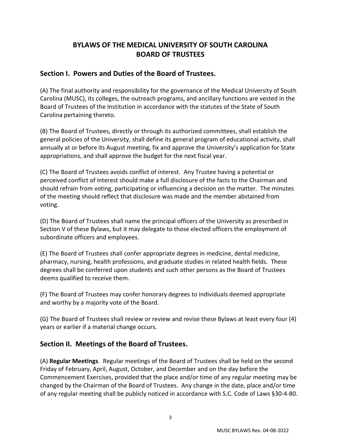## **BYLAWS OF THE MEDICAL UNIVERSITY OF SOUTH CAROLINA BOARD OF TRUSTEES**

## <span id="page-4-0"></span>**Section I. Powers and Duties of the Board of Trustees.**

(A) The final authority and responsibility for the governance of the Medical University of South Carolina (MUSC), its colleges, the outreach programs, and ancillary functions are vested in the Board of Trustees of the Institution in accordance with the statutes of the State of South Carolina pertaining thereto.

(B) The Board of Trustees, directly or through its authorized committees, shall establish the general policies of the University, shall define its general program of educational activity, shall annually at or before its August meeting, fix and approve the University's application for State appropriations, and shall approve the budget for the next fiscal year.

(C) The Board of Trustees avoids conflict of interest. Any Trustee having a potential or perceived conflict of interest should make a full disclosure of the facts to the Chairman and should refrain from voting, participating or influencing a decision on the matter. The minutes of the meeting should reflect that disclosure was made and the member abstained from voting.

(D) The Board of Trustees shall name the principal officers of the University as prescribed in Section V of these Bylaws, but it may delegate to those elected officers the employment of subordinate officers and employees.

(E) The Board of Trustees shall confer appropriate degrees in medicine, dental medicine, pharmacy, nursing, health professions, and graduate studies in related health fields. These degrees shall be conferred upon students and such other persons as the Board of Trustees deems qualified to receive them.

(F) The Board of Trustees may confer honorary degrees to individuals deemed appropriate and worthy by a majority vote of the Board.

(G) The Board of Trustees shall review or review and revise these Bylaws at least every four (4) years or earlier if a material change occurs.

## <span id="page-4-1"></span>**Section II. Meetings of the Board of Trustees.**

(A) **Regular Meetings**. Regular meetings of the Board of Trustees shall be held on the second Friday of February, April, August, October, and December and on the day before the Commencement Exercises, provided that the place and/or time of any regular meeting may be changed by the Chairman of the Board of Trustees. Any change in the date, place and/or time of any regular meeting shall be publicly noticed in accordance with S.C. Code of Laws §30-4-80.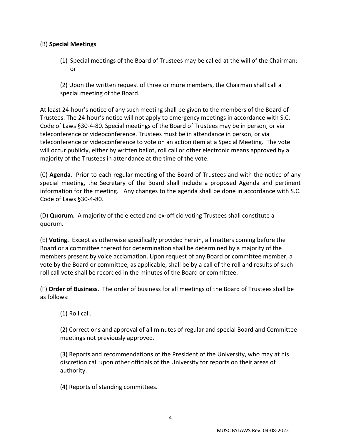#### (B) **Special Meetings**.

(1) Special meetings of the Board of Trustees may be called at the will of the Chairman; or

(2) Upon the written request of three or more members, the Chairman shall call a special meeting of the Board.

At least 24-hour's notice of any such meeting shall be given to the members of the Board of Trustees. The 24-hour's notice will not apply to emergency meetings in accordance with S.C. Code of Laws §30-4-80. Special meetings of the Board of Trustees may be in person, or via teleconference or videoconference. Trustees must be in attendance in person, or via teleconference or videoconference to vote on an action item at a Special Meeting. The vote will occur publicly, either by written ballot, roll call or other electronic means approved by a majority of the Trustees in attendance at the time of the vote.

(C) **Agenda**. Prior to each regular meeting of the Board of Trustees and with the notice of any special meeting, the Secretary of the Board shall include a proposed Agenda and pertinent information for the meeting. Any changes to the agenda shall be done in accordance with S.C. Code of Laws §30-4-80.

(D) **Quorum**. A majority of the elected and ex-officio voting Trustees shall constitute a quorum.

(E) **Voting.** Except as otherwise specifically provided herein, all matters coming before the Board or a committee thereof for determination shall be determined by a majority of the members present by voice acclamation. Upon request of any Board or committee member, a vote by the Board or committee, as applicable, shall be by a call of the roll and results of such roll call vote shall be recorded in the minutes of the Board or committee.

(F) **Order of Business**. The order of business for all meetings of the Board of Trustees shall be as follows:

(1) Roll call.

(2) Corrections and approval of all minutes of regular and special Board and Committee meetings not previously approved.

(3) Reports and recommendations of the President of the University, who may at his discretion call upon other officials of the University for reports on their areas of authority.

(4) Reports of standing committees.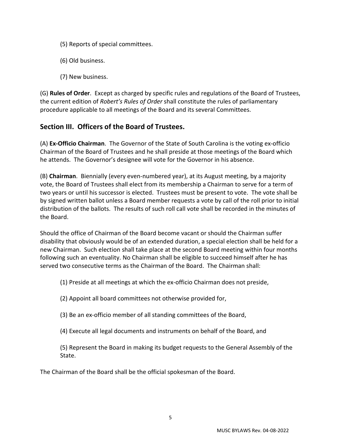- (5) Reports of special committees.
- (6) Old business.
- <span id="page-6-0"></span>(7) New business.

(G) **Rules of Order**. Except as charged by specific rules and regulations of the Board of Trustees, the current edition of *Robert's Rules of Order* shall constitute the rules of parliamentary procedure applicable to all meetings of the Board and its several Committees.

## **Section III. Officers of the Board of Trustees.**

(A) **Ex-Officio Chairman**. The Governor of the State of South Carolina is the voting ex-officio Chairman of the Board of Trustees and he shall preside at those meetings of the Board which he attends. The Governor's designee will vote for the Governor in his absence.

(B) **Chairman**. Biennially (every even-numbered year), at its August meeting, by a majority vote, the Board of Trustees shall elect from its membership a Chairman to serve for a term of two years or until his successor is elected. Trustees must be present to vote. The vote shall be by signed written ballot unless a Board member requests a vote by call of the roll prior to initial distribution of the ballots. The results of such roll call vote shall be recorded in the minutes of the Board.

Should the office of Chairman of the Board become vacant or should the Chairman suffer disability that obviously would be of an extended duration, a special election shall be held for a new Chairman. Such election shall take place at the second Board meeting within four months following such an eventuality. No Chairman shall be eligible to succeed himself after he has served two consecutive terms as the Chairman of the Board. The Chairman shall:

- (1) Preside at all meetings at which the ex-officio Chairman does not preside,
- (2) Appoint all board committees not otherwise provided for,
- (3) Be an ex-officio member of all standing committees of the Board,
- (4) Execute all legal documents and instruments on behalf of the Board, and

(5) Represent the Board in making its budget requests to the General Assembly of the State.

The Chairman of the Board shall be the official spokesman of the Board.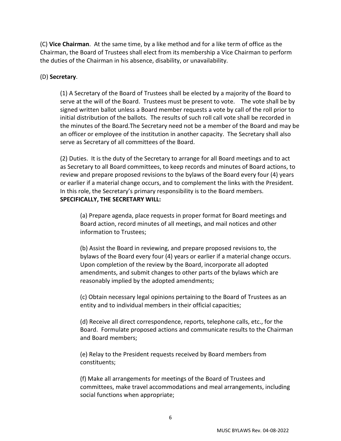(C) **Vice Chairman**. At the same time, by a like method and for a like term of office as the Chairman, the Board of Trustees shall elect from its membership a Vice Chairman to perform the duties of the Chairman in his absence, disability, or unavailability.

#### (D) **Secretary**.

(1) A Secretary of the Board of Trustees shall be elected by a majority of the Board to serve at the will of the Board. Trustees must be present to vote. The vote shall be by signed written ballot unless a Board member requests a vote by call of the roll prior to initial distribution of the ballots. The results of such roll call vote shall be recorded in the minutes of the Board.The Secretary need not be a member of the Board and may be an officer or employee of the institution in another capacity. The Secretary shall also serve as Secretary of all committees of the Board.

(2) Duties. It is the duty of the Secretary to arrange for all Board meetings and to act as Secretary to all Board committees, to keep records and minutes of Board actions, to review and prepare proposed revisions to the bylaws of the Board every four (4) years or earlier if a material change occurs, and to complement the links with the President. In this role, the Secretary's primary responsibility is to the Board members. **SPECIFICALLY, THE SECRETARY WILL:**

(a) Prepare agenda, place requests in proper format for Board meetings and Board action, record minutes of all meetings, and mail notices and other information to Trustees;

(b) Assist the Board in reviewing, and prepare proposed revisions to, the bylaws of the Board every four (4) years or earlier if a material change occurs. Upon completion of the review by the Board, incorporate all adopted amendments, and submit changes to other parts of the bylaws which are reasonably implied by the adopted amendments;

(c) Obtain necessary legal opinions pertaining to the Board of Trustees as an entity and to individual members in their official capacities;

(d) Receive all direct correspondence, reports, telephone calls, etc., for the Board. Formulate proposed actions and communicate results to the Chairman and Board members;

(e) Relay to the President requests received by Board members from constituents;

(f) Make all arrangements for meetings of the Board of Trustees and committees, make travel accommodations and meal arrangements, including social functions when appropriate;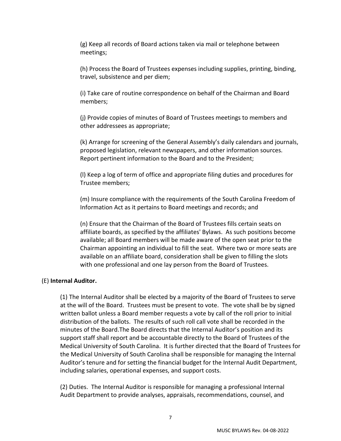(g) Keep all records of Board actions taken via mail or telephone between meetings;

(h) Process the Board of Trustees expenses including supplies, printing, binding, travel, subsistence and per diem;

(i) Take care of routine correspondence on behalf of the Chairman and Board members;

(j) Provide copies of minutes of Board of Trustees meetings to members and other addressees as appropriate;

(k) Arrange for screening of the General Assembly's daily calendars and journals, proposed legislation, relevant newspapers, and other information sources. Report pertinent information to the Board and to the President;

(l) Keep a log of term of office and appropriate filing duties and procedures for Trustee members;

(m) Insure compliance with the requirements of the South Carolina Freedom of Information Act as it pertains to Board meetings and records; and

(n) Ensure that the Chairman of the Board of Trustees fills certain seats on affiliate boards, as specified by the affiliates' Bylaws. As such positions become available; all Board members will be made aware of the open seat prior to the Chairman appointing an individual to fill the seat. Where two or more seats are available on an affiliate board, consideration shall be given to filling the slots with one professional and one lay person from the Board of Trustees.

#### (E) **Internal Auditor.**

(1) The Internal Auditor shall be elected by a majority of the Board of Trustees to serve at the will of the Board. Trustees must be present to vote. The vote shall be by signed written ballot unless a Board member requests a vote by call of the roll prior to initial distribution of the ballots. The results of such roll call vote shall be recorded in the minutes of the Board.The Board directs that the Internal Auditor's position and its support staff shall report and be accountable directly to the Board of Trustees of the Medical University of South Carolina. It is further directed that the Board of Trustees for the Medical University of South Carolina shall be responsible for managing the Internal Auditor's tenure and for setting the financial budget for the Internal Audit Department, including salaries, operational expenses, and support costs.

(2) Duties. The Internal Auditor is responsible for managing a professional Internal Audit Department to provide analyses, appraisals, recommendations, counsel, and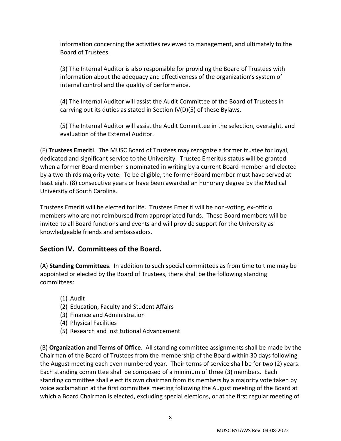information concerning the activities reviewed to management, and ultimately to the Board of Trustees.

(3) The Internal Auditor is also responsible for providing the Board of Trustees with information about the adequacy and effectiveness of the organization's system of internal control and the quality of performance.

(4) The Internal Auditor will assist the Audit Committee of the Board of Trustees in carrying out its duties as stated in Section IV(D)(5) of these Bylaws.

(5) The Internal Auditor will assist the Audit Committee in the selection, oversight, and evaluation of the External Auditor.

(F) **Trustees Emeriti**. The MUSC Board of Trustees may recognize a former trustee for loyal, dedicated and significant service to the University. Trustee Emeritus status will be granted when a former Board member is nominated in writing by a current Board member and elected by a two-thirds majority vote. To be eligible, the former Board member must have served at least eight (8) consecutive years or have been awarded an honorary degree by the Medical University of South Carolina.

Trustees Emeriti will be elected for life. Trustees Emeriti will be non-voting, ex-officio members who are not reimbursed from appropriated funds. These Board members will be invited to all Board functions and events and will provide support for the University as knowledgeable friends and ambassadors.

## <span id="page-9-0"></span>**Section IV. Committees of the Board.**

(A) **Standing Committees**. In addition to such special committees as from time to time may be appointed or elected by the Board of Trustees, there shall be the following standing committees:

- (1) Audit
- (2) Education, Faculty and Student Affairs
- (3) Finance and Administration
- (4) Physical Facilities
- (5) Research and Institutional Advancement

(B) **Organization and Terms of Office**. All standing committee assignments shall be made by the Chairman of the Board of Trustees from the membership of the Board within 30 days following the August meeting each even numbered year. Their terms of service shall be for two (2) years. Each standing committee shall be composed of a minimum of three (3) members. Each standing committee shall elect its own chairman from its members by a majority vote taken by voice acclamation at the first committee meeting following the August meeting of the Board at which a Board Chairman is elected, excluding special elections, or at the first regular meeting of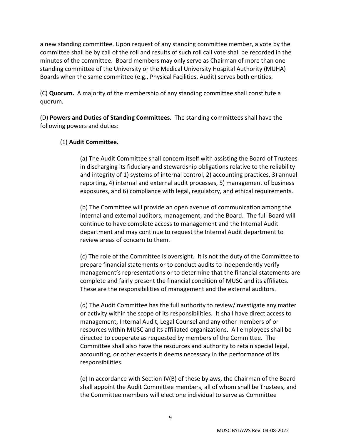a new standing committee. Upon request of any standing committee member, a vote by the committee shall be by call of the roll and results of such roll call vote shall be recorded in the minutes of the committee. Board members may only serve as Chairman of more than one standing committee of the University or the Medical University Hospital Authority (MUHA) Boards when the same committee (e.g., Physical Facilities, Audit) serves both entities.

(C) **Quorum.** A majority of the membership of any standing committee shall constitute a quorum.

(D) **Powers and Duties of Standing Committees**. The standing committees shall have the following powers and duties:

### (1) **Audit Committee.**

(a) The Audit Committee shall concern itself with assisting the Board of Trustees in discharging its fiduciary and stewardship obligations relative to the reliability and integrity of 1) systems of internal control, 2) accounting practices, 3) annual reporting, 4) internal and external audit processes, 5) management of business exposures, and 6) compliance with legal, regulatory, and ethical requirements.

(b) The Committee will provide an open avenue of communication among the internal and external auditors, management, and the Board. The full Board will continue to have complete access to management and the Internal Audit department and may continue to request the Internal Audit department to review areas of concern to them.

(c) The role of the Committee is oversight. It is not the duty of the Committee to prepare financial statements or to conduct audits to independently verify management's representations or to determine that the financial statements are complete and fairly present the financial condition of MUSC and its affiliates. These are the responsibilities of management and the external auditors.

(d) The Audit Committee has the full authority to review/investigate any matter or activity within the scope of its responsibilities. It shall have direct access to management, Internal Audit, Legal Counsel and any other members of or resources within MUSC and its affiliated organizations. All employees shall be directed to cooperate as requested by members of the Committee. The Committee shall also have the resources and authority to retain special legal, accounting, or other experts it deems necessary in the performance of its responsibilities.

(e) In accordance with Section IV(B) of these bylaws, the Chairman of the Board shall appoint the Audit Committee members, all of whom shall be Trustees, and the Committee members will elect one individual to serve as Committee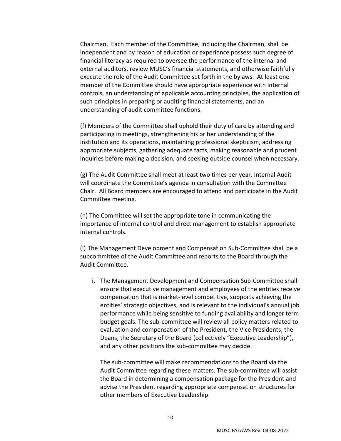Chairman. Each member of the Committee, including the Chairman, shall be independent and by reason of education or experience possess such degree of financial literacy as required to oversee the performance of the internal and external auditors, review MUSC's financial statements, and otherwise faithfully execute the role of the Audit Committee set forth in the bylaws. At least one member of the Committee should have appropriate experience with internal controls, an understanding of applicable accounting principles, the application of such principles in preparing or auditing financial statements, and an understanding of audit committee functions.

(f) Members of the Committee shall uphold their duty of care by attending and participating in meetings, strengthening his or her understanding of the institution and its operations, maintaining professional skepticism, addressing appropriate subjects, gathering adequate facts, making reasonable and prudent inquiries before making a decision, and seeking outside counsel when necessary.

(g) The Audit Committee shall meet at least two times per year. Internal Audit will coordinate the Committee's agenda in consultation with the Committee Chair. All Board members are encouraged to attend and participate in the Audit Committee meeting.

(h) The Committee will set the appropriate tone in communicating the importance of internal control and direct management to establish appropriate internal controls.

(i) The Management Development and Compensation Sub-Committee shall be a subcommittee of the Audit Committee and reports to the Board through the Audit Committee.

i. The Management Development and Compensation Sub-Committee shall ensure that executive management and employees of the entities receive compensation that is market-level competitive, supports achieving the entities' strategic objectives, and is relevant to the individual's annual job performance while being sensitive to funding availability and longer term budget goals. The sub-committee will review all policy matters related to evaluation and compensation of the President, the Vice Presidents, the Deans, the Secretary of the Board (collectively "Executive Leadership"), and any other positions the sub-committee may decide.

The sub-committee will make recommendations to the Board via the Audit Committee regarding these matters. The sub-committee will assist the Board in determining a compensation package for the President and advise the President regarding appropriate compensation structures for other members of Executive Leadership.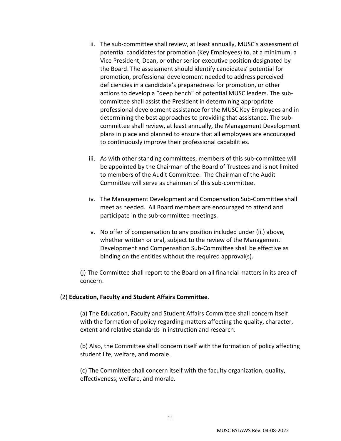- ii. The sub-committee shall review, at least annually, MUSC's assessment of potential candidates for promotion (Key Employees) to, at a minimum, a Vice President, Dean, or other senior executive position designated by the Board. The assessment should identify candidates' potential for promotion, professional development needed to address perceived deficiencies in a candidate's preparedness for promotion, or other actions to develop a "deep bench" of potential MUSC leaders. The subcommittee shall assist the President in determining appropriate professional development assistance for the MUSC Key Employees and in determining the best approaches to providing that assistance. The subcommittee shall review, at least annually, the Management Development plans in place and planned to ensure that all employees are encouraged to continuously improve their professional capabilities.
- iii. As with other standing committees, members of this sub-committee will be appointed by the Chairman of the Board of Trustees and is not limited to members of the Audit Committee. The Chairman of the Audit Committee will serve as chairman of this sub-committee.
- iv. The Management Development and Compensation Sub-Committee shall meet as needed. All Board members are encouraged to attend and participate in the sub-committee meetings.
- v. No offer of compensation to any position included under (ii.) above, whether written or oral, subject to the review of the Management Development and Compensation Sub-Committee shall be effective as binding on the entities without the required approval(s).

(j) The Committee shall report to the Board on all financial matters in its area of concern.

#### (2) **Education, Faculty and Student Affairs Committee**.

(a) The Education, Faculty and Student Affairs Committee shall concern itself with the formation of policy regarding matters affecting the quality, character, extent and relative standards in instruction and research.

(b) Also, the Committee shall concern itself with the formation of policy affecting student life, welfare, and morale.

(c) The Committee shall concern itself with the faculty organization, quality, effectiveness, welfare, and morale.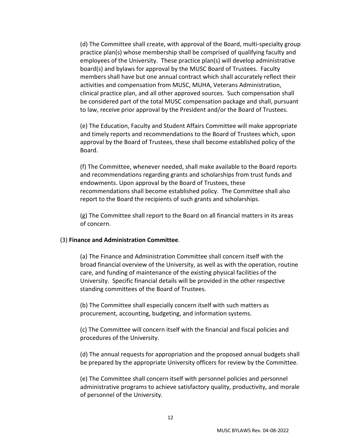(d) The Committee shall create, with approval of the Board, multi-specialty group practice plan(s) whose membership shall be comprised of qualifying faculty and employees of the University. These practice plan(s) will develop administrative board(s) and bylaws for approval by the MUSC Board of Trustees. Faculty members shall have but one annual contract which shall accurately reflect their activities and compensation from MUSC, MUHA, Veterans Administration, clinical practice plan, and all other approved sources. Such compensation shall be considered part of the total MUSC compensation package and shall, pursuant to law, receive prior approval by the President and/or the Board of Trustees.

(e) The Education, Faculty and Student Affairs Committee will make appropriate and timely reports and recommendations to the Board of Trustees which, upon approval by the Board of Trustees, these shall become established policy of the Board.

(f) The Committee, whenever needed, shall make available to the Board reports and recommendations regarding grants and scholarships from trust funds and endowments. Upon approval by the Board of Trustees, these recommendations shall become established policy. The Committee shall also report to the Board the recipients of such grants and scholarships.

(g) The Committee shall report to the Board on all financial matters in its areas of concern.

#### (3) **Finance and Administration Committee**.

(a) The Finance and Administration Committee shall concern itself with the broad financial overview of the University, as well as with the operation, routine care, and funding of maintenance of the existing physical facilities of the University. Specific financial details will be provided in the other respective standing committees of the Board of Trustees.

(b) The Committee shall especially concern itself with such matters as procurement, accounting, budgeting, and information systems.

(c) The Committee will concern itself with the financial and fiscal policies and procedures of the University.

(d) The annual requests for appropriation and the proposed annual budgets shall be prepared by the appropriate University officers for review by the Committee.

(e) The Committee shall concern itself with personnel policies and personnel administrative programs to achieve satisfactory quality, productivity, and morale of personnel of the University.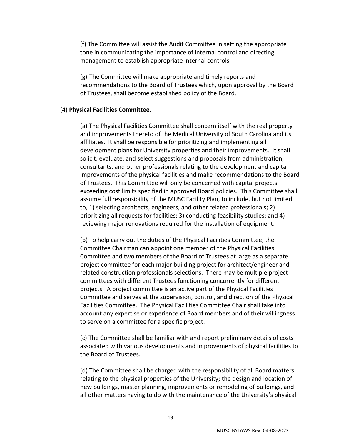(f) The Committee will assist the Audit Committee in setting the appropriate tone in communicating the importance of internal control and directing management to establish appropriate internal controls.

(g) The Committee will make appropriate and timely reports and recommendations to the Board of Trustees which, upon approval by the Board of Trustees, shall become established policy of the Board.

#### (4) **Physical Facilities Committee.**

(a) The Physical Facilities Committee shall concern itself with the real property and improvements thereto of the Medical University of South Carolina and its affiliates. It shall be responsible for prioritizing and implementing all development plans for University properties and their improvements. It shall solicit, evaluate, and select suggestions and proposals from administration, consultants, and other professionals relating to the development and capital improvements of the physical facilities and make recommendations to the Board of Trustees. This Committee will only be concerned with capital projects exceeding cost limits specified in approved Board policies. This Committee shall assume full responsibility of the MUSC Facility Plan, to include, but not limited to, 1) selecting architects, engineers, and other related professionals; 2) prioritizing all requests for facilities; 3) conducting feasibility studies; and 4) reviewing major renovations required for the installation of equipment.

(b) To help carry out the duties of the Physical Facilities Committee, the Committee Chairman can appoint one member of the Physical Facilities Committee and two members of the Board of Trustees at large as a separate project committee for each major building project for architect/engineer and related construction professionals selections. There may be multiple project committees with different Trustees functioning concurrently for different projects. A project committee is an active part of the Physical Facilities Committee and serves at the supervision, control, and direction of the Physical Facilities Committee. The Physical Facilities Committee Chair shall take into account any expertise or experience of Board members and of their willingness to serve on a committee for a specific project.

(c) The Committee shall be familiar with and report preliminary details of costs associated with various developments and improvements of physical facilities to the Board of Trustees.

(d) The Committee shall be charged with the responsibility of all Board matters relating to the physical properties of the University; the design and location of new buildings, master planning, improvements or remodeling of buildings, and all other matters having to do with the maintenance of the University's physical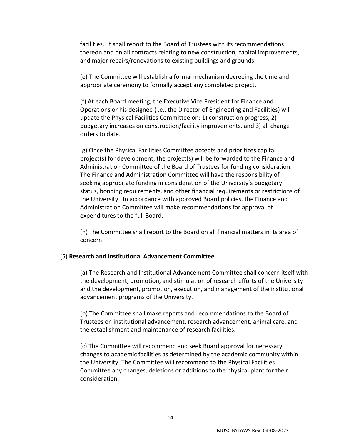facilities. It shall report to the Board of Trustees with its recommendations thereon and on all contracts relating to new construction, capital improvements, and major repairs/renovations to existing buildings and grounds.

(e) The Committee will establish a formal mechanism decreeing the time and appropriate ceremony to formally accept any completed project.

(f) At each Board meeting, the Executive Vice President for Finance and Operations or his designee (i.e., the Director of Engineering and Facilities) will update the Physical Facilities Committee on: 1) construction progress, 2) budgetary increases on construction/facility improvements, and 3) all change orders to date.

(g) Once the Physical Facilities Committee accepts and prioritizes capital project(s) for development, the project(s) will be forwarded to the Finance and Administration Committee of the Board of Trustees for funding consideration. The Finance and Administration Committee will have the responsibility of seeking appropriate funding in consideration of the University's budgetary status, bonding requirements, and other financial requirements or restrictions of the University. In accordance with approved Board policies, the Finance and Administration Committee will make recommendations for approval of expenditures to the full Board.

(h) The Committee shall report to the Board on all financial matters in its area of concern.

#### (5) **Research and Institutional Advancement Committee.**

(a) The Research and Institutional Advancement Committee shall concern itself with the development, promotion, and stimulation of research efforts of the University and the development, promotion, execution, and management of the institutional advancement programs of the University.

(b) The Committee shall make reports and recommendations to the Board of Trustees on institutional advancement, research advancement, animal care, and the establishment and maintenance of research facilities.

(c) The Committee will recommend and seek Board approval for necessary changes to academic facilities as determined by the academic community within the University. The Committee will recommend to the Physical Facilities Committee any changes, deletions or additions to the physical plant for their consideration.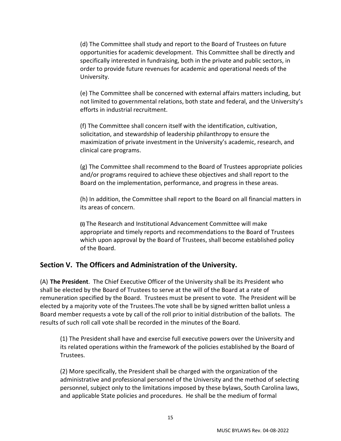(d) The Committee shall study and report to the Board of Trustees on future opportunities for academic development. This Committee shall be directly and specifically interested in fundraising, both in the private and public sectors, in order to provide future revenues for academic and operational needs of the University.

(e) The Committee shall be concerned with external affairs matters including, but not limited to governmental relations, both state and federal, and the University's efforts in industrial recruitment.

(f) The Committee shall concern itself with the identification, cultivation, solicitation, and stewardship of leadership philanthropy to ensure the maximization of private investment in the University's academic, research, and clinical care programs.

(g) The Committee shall recommend to the Board of Trustees appropriate policies and/or programs required to achieve these objectives and shall report to the Board on the implementation, performance, and progress in these areas.

(h) In addition, the Committee shall report to the Board on all financial matters in its areas of concern.

<span id="page-16-0"></span>**(i)** The Research and Institutional Advancement Committee will make appropriate and timely reports and recommendations to the Board of Trustees which upon approval by the Board of Trustees, shall become established policy of the Board.

## **Section V. The Officers and Administration of the University.**

(A) **The President**. The Chief Executive Officer of the University shall be its President who shall be elected by the Board of Trustees to serve at the will of the Board at a rate of remuneration specified by the Board. Trustees must be present to vote. The President will be elected by a majority vote of the Trustees.The vote shall be by signed written ballot unless a Board member requests a vote by call of the roll prior to initial distribution of the ballots. The results of such roll call vote shall be recorded in the minutes of the Board.

(1) The President shall have and exercise full executive powers over the University and its related operations within the framework of the policies established by the Board of Trustees.

(2) More specifically, the President shall be charged with the organization of the administrative and professional personnel of the University and the method of selecting personnel, subject only to the limitations imposed by these bylaws, South Carolina laws, and applicable State policies and procedures. He shall be the medium of formal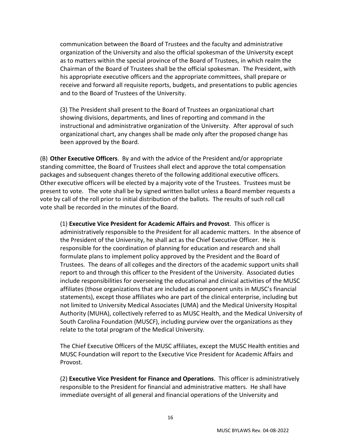communication between the Board of Trustees and the faculty and administrative organization of the University and also the official spokesman of the University except as to matters within the special province of the Board of Trustees, in which realm the Chairman of the Board of Trustees shall be the official spokesman. The President, with his appropriate executive officers and the appropriate committees, shall prepare or receive and forward all requisite reports, budgets, and presentations to public agencies and to the Board of Trustees of the University.

(3) The President shall present to the Board of Trustees an organizational chart showing divisions, departments, and lines of reporting and command in the instructional and administrative organization of the University. After approval of such organizational chart, any changes shall be made only after the proposed change has been approved by the Board.

(B) **Other Executive Officers**. By and with the advice of the President and/or appropriate standing committee, the Board of Trustees shall elect and approve the total compensation packages and subsequent changes thereto of the following additional executive officers. Other executive officers will be elected by a majority vote of the Trustees. Trustees must be present to vote. The vote shall be by signed written ballot unless a Board member requests a vote by call of the roll prior to initial distribution of the ballots. The results of such roll call vote shall be recorded in the minutes of the Board.

(1) **Executive Vice President for Academic Affairs and Provost**. This officer is administratively responsible to the President for all academic matters. In the absence of the President of the University, he shall act as the Chief Executive Officer. He is responsible for the coordination of planning for education and research and shall formulate plans to implement policy approved by the President and the Board of Trustees. The deans of all colleges and the directors of the academic support units shall report to and through this officer to the President of the University. Associated duties include responsibilities for overseeing the educational and clinical activities of the MUSC affiliates (those organizations that are included as component units in MUSC's financial statements), except those affiliates who are part of the clinical enterprise, including but not limited to University Medical Associates (UMA) and the Medical University Hospital Authority (MUHA), collectively referred to as MUSC Health, and the Medical University of South Carolina Foundation (MUSCF), including purview over the organizations as they relate to the total program of the Medical University.

The Chief Executive Officers of the MUSC affiliates, except the MUSC Health entities and MUSC Foundation will report to the Executive Vice President for Academic Affairs and Provost.

(2) **Executive Vice President for Finance and Operations**. This officer is administratively responsible to the President for financial and administrative matters. He shall have immediate oversight of all general and financial operations of the University and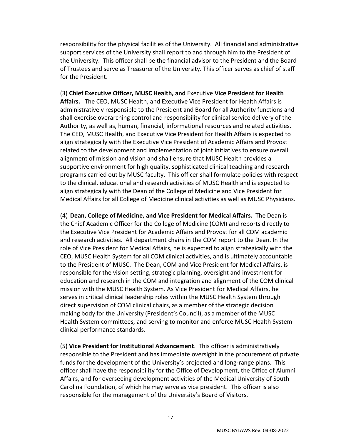responsibility for the physical facilities of the University. All financial and administrative support services of the University shall report to and through him to the President of the University. This officer shall be the financial advisor to the President and the Board of Trustees and serve as Treasurer of the University. This officer serves as chief of staff for the President.

#### (3) **Chief Executive Officer, MUSC Health, and** Executive **Vice President for Health**

**Affairs.** The CEO, MUSC Health, and Executive Vice President for Health Affairs is administratively responsible to the President and Board for all Authority functions and shall exercise overarching control and responsibility for clinical service delivery of the Authority, as well as, human, financial, informational resources and related activities. The CEO, MUSC Health, and Executive Vice President for Health Affairs is expected to align strategically with the Executive Vice President of Academic Affairs and Provost related to the development and implementation of joint initiatives to ensure overall alignment of mission and vision and shall ensure that MUSC Health provides a supportive environment for high quality, sophisticated clinical teaching and research programs carried out by MUSC faculty. This officer shall formulate policies with respect to the clinical, educational and research activities of MUSC Health and is expected to align strategically with the Dean of the College of Medicine and Vice President for Medical Affairs for all College of Medicine clinical activities as well as MUSC Physicians.

(4) **Dean, College of Medicine, and Vice President for Medical Affairs.** The Dean is the Chief Academic Officer for the College of Medicine (COM) and reports directly to the Executive Vice President for Academic Affairs and Provost for all COM academic and research activities. All department chairs in the COM report to the Dean. In the role of Vice President for Medical Affairs, he is expected to align strategically with the CEO, MUSC Health System for all COM clinical activities, and is ultimately accountable to the President of MUSC. The Dean, COM and Vice President for Medical Affairs, is responsible for the vision setting, strategic planning, oversight and investment for education and research in the COM and integration and alignment of the COM clinical mission with the MUSC Health System. As Vice President for Medical Affairs, he serves in critical clinical leadership roles within the MUSC Health System through direct supervision of COM clinical chairs, as a member of the strategic decision making body for the University (President's Council), as a member of the MUSC Health System committees, and serving to monitor and enforce MUSC Health System clinical performance standards.

(5) **Vice President for Institutional Advancement**. This officer is administratively responsible to the President and has immediate oversight in the procurement of private funds for the development of the University's projected and long-range plans. This officer shall have the responsibility for the Office of Development, the Office of Alumni Affairs, and for overseeing development activities of the Medical University of South Carolina Foundation, of which he may serve as vice president. This officer is also responsible for the management of the University's Board of Visitors.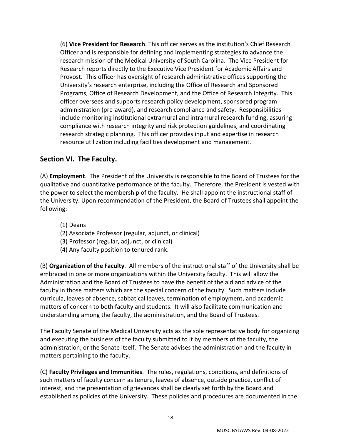(6) **Vice President for Research**. This officer serves as the institution's Chief Research Officer and is responsible for defining and implementing strategies to advance the research mission of the Medical University of South Carolina. The Vice President for Research reports directly to the Executive Vice President for Academic Affairs and Provost. This officer has oversight of research administrative offices supporting the University's research enterprise, including the Office of Research and Sponsored Programs, Office of Research Development, and the Office of Research Integrity. This officer oversees and supports research policy development, sponsored program administration (pre-award), and research compliance and safety. Responsibilities include monitoring institutional extramural and intramural research funding, assuring compliance with research integrity and risk protection guidelines, and coordinating research strategic planning. This officer provides input and expertise in research resource utilization including facilities development and management.

## <span id="page-19-0"></span>**Section VI. The Faculty.**

(A) **Employment**. The President of the University is responsible to the Board of Trustees for the qualitative and quantitative performance of the faculty. Therefore, the President is vested with the power to select the membership of the faculty. He shall appoint the instructional staff of the University. Upon recommendation of the President, the Board of Trustees shall appoint the following:

- (1) Deans
- (2) Associate Professor (regular, adjunct, or clinical)
- (3) Professor (regular, adjunct, or clinical)
- (4) Any faculty position to tenured rank.

(B) **Organization of the Faculty**. All members of the instructional staff of the University shall be embraced in one or more organizations within the University faculty. This will allow the Administration and the Board of Trustees to have the benefit of the aid and advice of the faculty in those matters which are the special concern of the faculty. Such matters include curricula, leaves of absence, sabbatical leaves, termination of employment, and academic matters of concern to both faculty and students. It will also facilitate communication and understanding among the faculty, the administration, and the Board of Trustees.

The Faculty Senate of the Medical University acts as the sole representative body for organizing and executing the business of the faculty submitted to it by members of the faculty, the administration, or the Senate itself. The Senate advises the administration and the faculty in matters pertaining to the faculty.

(C) **Faculty Privileges and Immunities**. The rules, regulations, conditions, and definitions of such matters of faculty concern as tenure, leaves of absence, outside practice, conflict of interest, and the presentation of grievances shall be clearly set forth by the Board and established as policies of the University. These policies and procedures are documented in the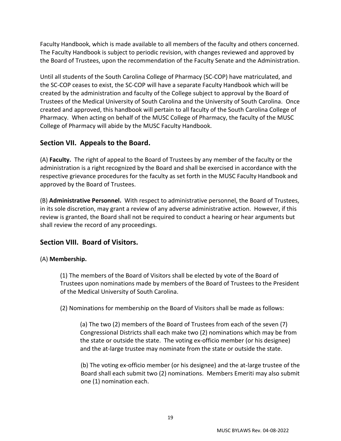Faculty Handbook, which is made available to all members of the faculty and others concerned. The Faculty Handbook is subject to periodic revision, with changes reviewed and approved by the Board of Trustees, upon the recommendation of the Faculty Senate and the Administration.

Until all students of the South Carolina College of Pharmacy (SC-COP) have matriculated, and the SC-COP ceases to exist, the SC-COP will have a separate Faculty Handbook which will be created by the administration and faculty of the College subject to approval by the Board of Trustees of the Medical University of South Carolina and the University of South Carolina. Once created and approved, this handbook will pertain to all faculty of the South Carolina College of Pharmacy. When acting on behalf of the MUSC College of Pharmacy, the faculty of the MUSC College of Pharmacy will abide by the MUSC Faculty Handbook.

## <span id="page-20-0"></span>**Section VII. Appeals to the Board.**

(A) **Faculty.** The right of appeal to the Board of Trustees by any member of the faculty or the administration is a right recognized by the Board and shall be exercised in accordance with the respective grievance procedures for the faculty as set forth in the MUSC Faculty Handbook and approved by the Board of Trustees.

(B) **Administrative Personnel.** With respect to administrative personnel, the Board of Trustees, in its sole discretion, may grant a review of any adverse administrative action.However, if this review is granted, the Board shall not be required to conduct a hearing or hear arguments but shall review the record of any proceedings.

## <span id="page-20-1"></span>**Section VIII. Board of Visitors.**

#### (A) **Membership.**

(1) The members of the Board of Visitors shall be elected by vote of the Board of Trustees upon nominations made by members of the Board of Trustees to the President of the Medical University of South Carolina.

(2) Nominations for membership on the Board of Visitors shall be made as follows:

(a) The two (2) members of the Board of Trustees from each of the seven (7) Congressional Districts shall each make two (2) nominations which may be from the state or outside the state. The voting ex-officio member (or his designee) and the at-large trustee may nominate from the state or outside the state.

(b) The voting ex-officio member (or his designee) and the at-large trustee of the Board shall each submit two (2) nominations. Members Emeriti may also submit one (1) nomination each.